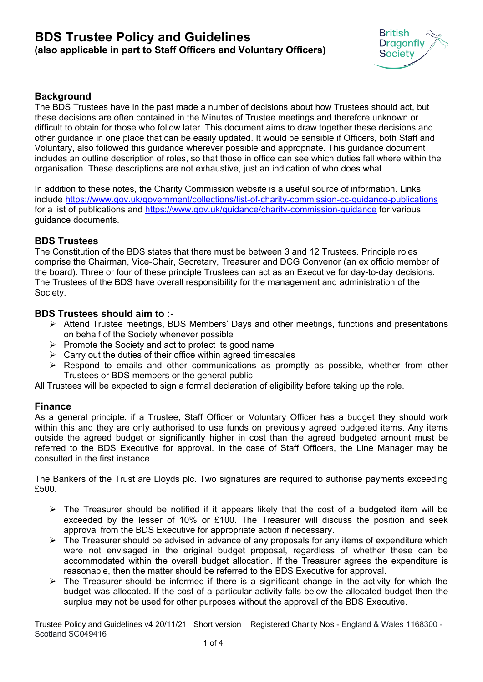# **BDS Trustee Policy and Guidelines (also applicable in part to Staff Officers and Voluntary Officers)**



### **Background**

The BDS Trustees have in the past made a number of decisions about how Trustees should act, but these decisions are often contained in the Minutes of Trustee meetings and therefore unknown or difficult to obtain for those who follow later. This document aims to draw together these decisions and other guidance in one place that can be easily updated. It would be sensible if Officers, both Staff and Voluntary, also followed this guidance wherever possible and appropriate. This guidance document includes an outline description of roles, so that those in office can see which duties fall where within the organisation. These descriptions are not exhaustive, just an indication of who does what.

In addition to these notes, the Charity Commission website is a useful source of information. Links include<https://www.gov.uk/government/collections/list-of-charity-commission-cc-guidance-publications> for a list of publications and <https://www.gov.uk/guidance/charity-commission-guidance> for various guidance documents.

#### **BDS Trustees**

The Constitution of the BDS states that there must be between 3 and 12 Trustees. Principle roles comprise the Chairman, Vice-Chair, Secretary, Treasurer and DCG Convenor (an ex officio member of the board). Three or four of these principle Trustees can act as an Executive for day-to-day decisions. The Trustees of the BDS have overall responsibility for the management and administration of the Society.

#### **BDS Trustees should aim to :-**

- Attend Trustee meetings, BDS Members' Days and other meetings, functions and presentations on behalf of the Society whenever possible
- $\triangleright$  Promote the Society and act to protect its good name
- $\triangleright$  Carry out the duties of their office within agreed timescales
- $\triangleright$  Respond to emails and other communications as promptly as possible, whether from other Trustees or BDS members or the general public

All Trustees will be expected to sign a formal declaration of eligibility before taking up the role.

### **Finance**

As a general principle, if a Trustee, Staff Officer or Voluntary Officer has a budget they should work within this and they are only authorised to use funds on previously agreed budgeted items. Any items outside the agreed budget or significantly higher in cost than the agreed budgeted amount must be referred to the BDS Executive for approval. In the case of Staff Officers, the Line Manager may be consulted in the first instance

The Bankers of the Trust are Lloyds plc. Two signatures are required to authorise payments exceeding £500.

- $\triangleright$  The Treasurer should be notified if it appears likely that the cost of a budgeted item will be exceeded by the lesser of 10% or £100. The Treasurer will discuss the position and seek approval from the BDS Executive for appropriate action if necessary.
- $\triangleright$  The Treasurer should be advised in advance of any proposals for any items of expenditure which were not envisaged in the original budget proposal, regardless of whether these can be accommodated within the overall budget allocation. If the Treasurer agrees the expenditure is reasonable, then the matter should be referred to the BDS Executive for approval.
- $\triangleright$  The Treasurer should be informed if there is a significant change in the activity for which the budget was allocated. If the cost of a particular activity falls below the allocated budget then the surplus may not be used for other purposes without the approval of the BDS Executive.

Trustee Policy and Guidelines v4 20/11/21 Short version Registered Charity Nos - England & Wales 1168300 - Scotland SC049416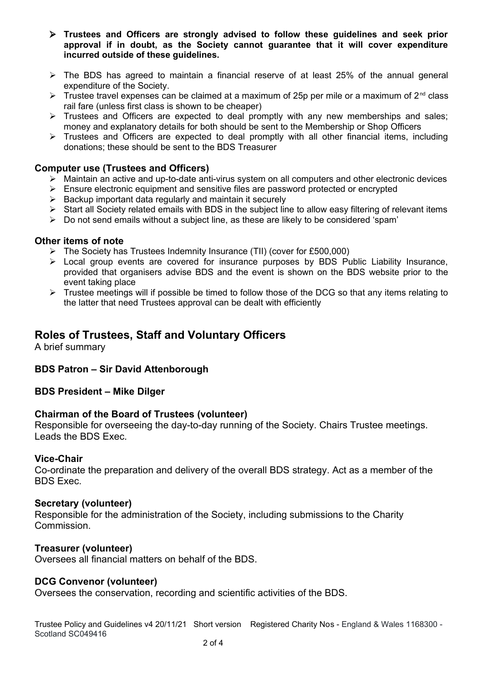- **Trustees and Officers are strongly advised to follow these guidelines and seek prior approval if in doubt, as the Society cannot guarantee that it will cover expenditure incurred outside of these guidelines.**
- $\triangleright$  The BDS has agreed to maintain a financial reserve of at least 25% of the annual general expenditure of the Society.
- $\triangleright$  Trustee travel expenses can be claimed at a maximum of 25p per mile or a maximum of 2<sup>nd</sup> class rail fare (unless first class is shown to be cheaper)
- $\triangleright$  Trustees and Officers are expected to deal promptly with any new memberships and sales; money and explanatory details for both should be sent to the Membership or Shop Officers
- $\triangleright$  Trustees and Officers are expected to deal promptly with all other financial items, including donations; these should be sent to the BDS Treasurer

### **Computer use (Trustees and Officers)**

- Maintain an active and up-to-date anti-virus system on all computers and other electronic devices
- $\triangleright$  Ensure electronic equipment and sensitive files are password protected or encrypted
- $\triangleright$  Backup important data regularly and maintain it securely
- $\triangleright$  Start all Society related emails with BDS in the subject line to allow easy filtering of relevant items
- $\triangleright$  Do not send emails without a subject line, as these are likely to be considered 'spam'

### **Other items of note**

- $\triangleright$  The Society has Trustees Indemnity Insurance (TII) (cover for £500,000)
- Local group events are covered for insurance purposes by BDS Public Liability Insurance, provided that organisers advise BDS and the event is shown on the BDS website prior to the event taking place
- $\triangleright$  Trustee meetings will if possible be timed to follow those of the DCG so that any items relating to the latter that need Trustees approval can be dealt with efficiently

# **Roles of Trustees, Staff and Voluntary Officers**

A brief summary

### **BDS Patron – Sir David Attenborough**

### **BDS President – Mike Dilger**

### **Chairman of the Board of Trustees (volunteer)**

Responsible for overseeing the day-to-day running of the Society. Chairs Trustee meetings. Leads the BDS Exec.

### **Vice-Chair**

Co-ordinate the preparation and delivery of the overall BDS strategy. Act as a member of the BDS Exec.

### **Secretary (volunteer)**

Responsible for the administration of the Society, including submissions to the Charity **Commission** 

### **Treasurer (volunteer)**

Oversees all financial matters on behalf of the BDS.

### **DCG Convenor (volunteer)**

Oversees the conservation, recording and scientific activities of the BDS.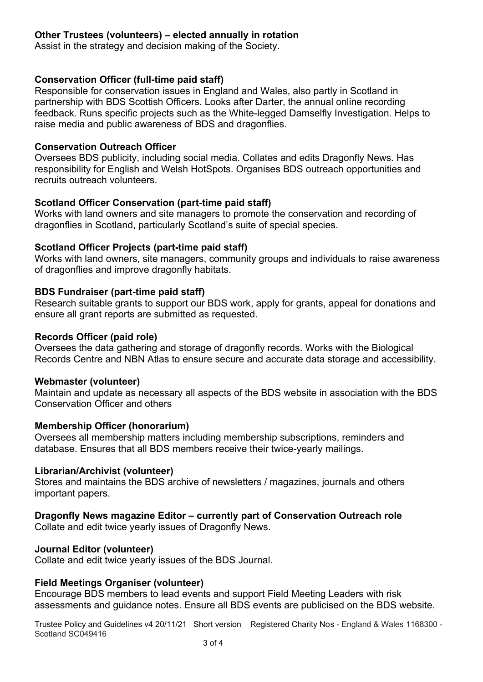## **Other Trustees (volunteers) – elected annually in rotation**

Assist in the strategy and decision making of the Society.

### **Conservation Officer (full-time paid staff)**

Responsible for conservation issues in England and Wales, also partly in Scotland in partnership with BDS Scottish Officers. Looks after Darter, the annual online recording feedback. Runs specific projects such as the White-legged Damselfly Investigation. Helps to raise media and public awareness of BDS and dragonflies.

### **Conservation Outreach Officer**

Oversees BDS publicity, including social media. Collates and edits Dragonfly News. Has responsibility for English and Welsh HotSpots. Organises BDS outreach opportunities and recruits outreach volunteers.

### **Scotland Officer Conservation (part-time paid staff)**

Works with land owners and site managers to promote the conservation and recording of dragonflies in Scotland, particularly Scotland's suite of special species.

### **Scotland Officer Projects (part-time paid staff)**

Works with land owners, site managers, community groups and individuals to raise awareness of dragonflies and improve dragonfly habitats.

### **BDS Fundraiser (part-time paid staff)**

Research suitable grants to support our BDS work, apply for grants, appeal for donations and ensure all grant reports are submitted as requested.

### **Records Officer (paid role)**

Oversees the data gathering and storage of dragonfly records. Works with the Biological Records Centre and NBN Atlas to ensure secure and accurate data storage and accessibility.

### **Webmaster (volunteer)**

Maintain and update as necessary all aspects of the BDS website in association with the BDS Conservation Officer and others

### **Membership Officer (honorarium)**

Oversees all membership matters including membership subscriptions, reminders and database. Ensures that all BDS members receive their twice-yearly mailings.

### **Librarian/Archivist (volunteer)**

Stores and maintains the BDS archive of newsletters / magazines, journals and others important papers.

### **Dragonfly News magazine Editor – currently part of Conservation Outreach role**

Collate and edit twice yearly issues of Dragonfly News.

### **Journal Editor (volunteer)**

Collate and edit twice yearly issues of the BDS Journal.

### **Field Meetings Organiser (volunteer)**

Encourage BDS members to lead events and support Field Meeting Leaders with risk assessments and guidance notes. Ensure all BDS events are publicised on the BDS website.

Trustee Policy and Guidelines v4 20/11/21 Short version Registered Charity Nos - England & Wales 1168300 - Scotland SC049416